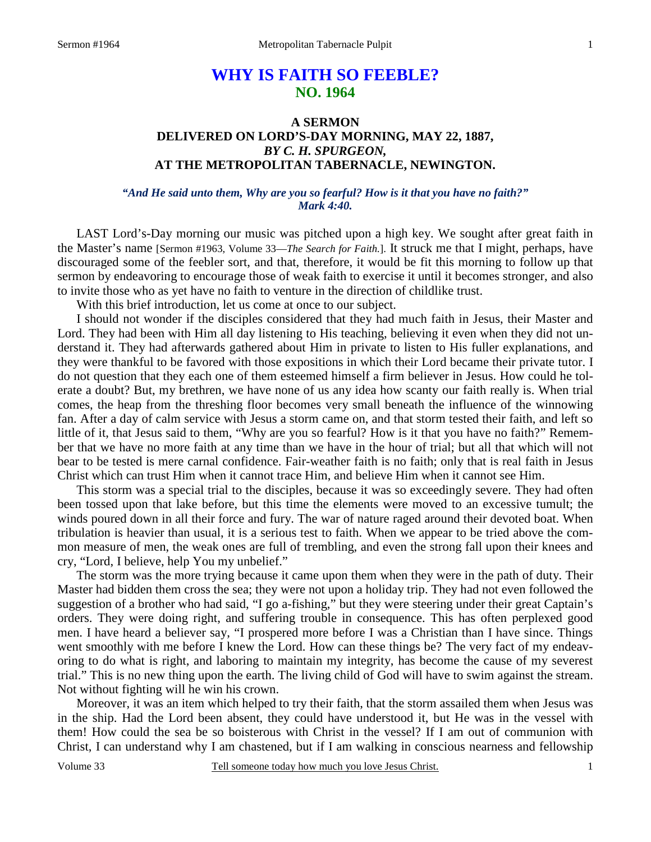# **WHY IS FAITH SO FEEBLE? NO. 1964**

## **A SERMON DELIVERED ON LORD'S-DAY MORNING, MAY 22, 1887,**  *BY C. H. SPURGEON,*  **AT THE METROPOLITAN TABERNACLE, NEWINGTON.**

#### *"And He said unto them, Why are you so fearful? How is it that you have no faith?" Mark 4:40.*

LAST Lord's-Day morning our music was pitched upon a high key. We sought after great faith in the Master's name [Sermon #1963, Volume 33—*The Search for Faith.*]. It struck me that I might, perhaps, have discouraged some of the feebler sort, and that, therefore, it would be fit this morning to follow up that sermon by endeavoring to encourage those of weak faith to exercise it until it becomes stronger, and also to invite those who as yet have no faith to venture in the direction of childlike trust.

With this brief introduction, let us come at once to our subject.

I should not wonder if the disciples considered that they had much faith in Jesus, their Master and Lord. They had been with Him all day listening to His teaching, believing it even when they did not understand it. They had afterwards gathered about Him in private to listen to His fuller explanations, and they were thankful to be favored with those expositions in which their Lord became their private tutor. I do not question that they each one of them esteemed himself a firm believer in Jesus. How could he tolerate a doubt? But, my brethren, we have none of us any idea how scanty our faith really is. When trial comes, the heap from the threshing floor becomes very small beneath the influence of the winnowing fan. After a day of calm service with Jesus a storm came on, and that storm tested their faith, and left so little of it, that Jesus said to them, "Why are you so fearful? How is it that you have no faith?" Remember that we have no more faith at any time than we have in the hour of trial; but all that which will not bear to be tested is mere carnal confidence. Fair-weather faith is no faith; only that is real faith in Jesus Christ which can trust Him when it cannot trace Him, and believe Him when it cannot see Him.

This storm was a special trial to the disciples, because it was so exceedingly severe. They had often been tossed upon that lake before, but this time the elements were moved to an excessive tumult; the winds poured down in all their force and fury. The war of nature raged around their devoted boat. When tribulation is heavier than usual, it is a serious test to faith. When we appear to be tried above the common measure of men, the weak ones are full of trembling, and even the strong fall upon their knees and cry, "Lord, I believe, help You my unbelief."

The storm was the more trying because it came upon them when they were in the path of duty. Their Master had bidden them cross the sea; they were not upon a holiday trip. They had not even followed the suggestion of a brother who had said, "I go a-fishing," but they were steering under their great Captain's orders. They were doing right, and suffering trouble in consequence. This has often perplexed good men. I have heard a believer say, "I prospered more before I was a Christian than I have since. Things went smoothly with me before I knew the Lord. How can these things be? The very fact of my endeavoring to do what is right, and laboring to maintain my integrity, has become the cause of my severest trial." This is no new thing upon the earth. The living child of God will have to swim against the stream. Not without fighting will he win his crown.

Moreover, it was an item which helped to try their faith, that the storm assailed them when Jesus was in the ship. Had the Lord been absent, they could have understood it, but He was in the vessel with them! How could the sea be so boisterous with Christ in the vessel? If I am out of communion with Christ, I can understand why I am chastened, but if I am walking in conscious nearness and fellowship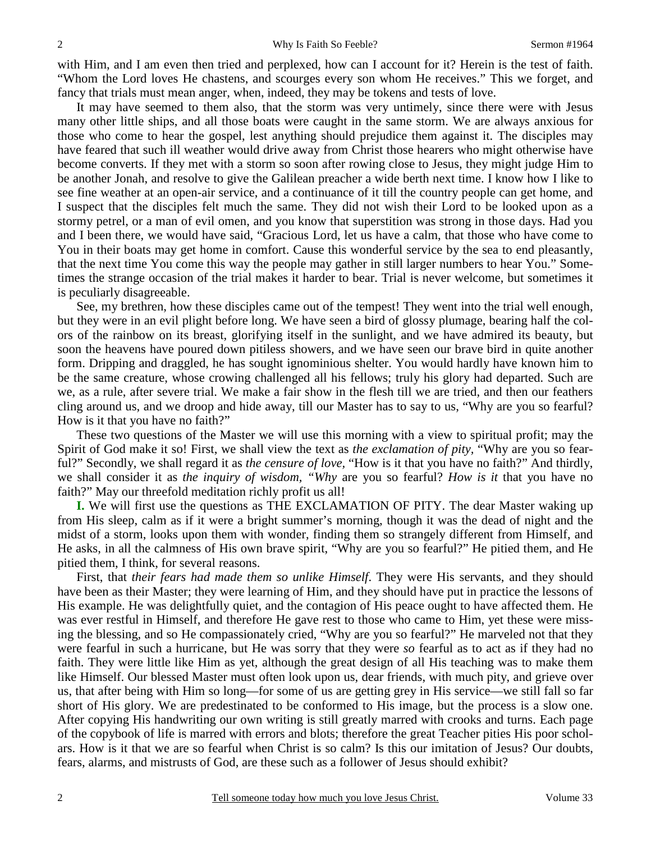with Him, and I am even then tried and perplexed, how can I account for it? Herein is the test of faith. "Whom the Lord loves He chastens, and scourges every son whom He receives." This we forget, and fancy that trials must mean anger, when, indeed, they may be tokens and tests of love.

It may have seemed to them also, that the storm was very untimely, since there were with Jesus many other little ships, and all those boats were caught in the same storm. We are always anxious for those who come to hear the gospel, lest anything should prejudice them against it. The disciples may have feared that such ill weather would drive away from Christ those hearers who might otherwise have become converts. If they met with a storm so soon after rowing close to Jesus, they might judge Him to be another Jonah, and resolve to give the Galilean preacher a wide berth next time. I know how I like to see fine weather at an open-air service, and a continuance of it till the country people can get home, and I suspect that the disciples felt much the same. They did not wish their Lord to be looked upon as a stormy petrel, or a man of evil omen, and you know that superstition was strong in those days. Had you and I been there, we would have said, "Gracious Lord, let us have a calm, that those who have come to You in their boats may get home in comfort. Cause this wonderful service by the sea to end pleasantly, that the next time You come this way the people may gather in still larger numbers to hear You." Sometimes the strange occasion of the trial makes it harder to bear. Trial is never welcome, but sometimes it is peculiarly disagreeable.

See, my brethren, how these disciples came out of the tempest! They went into the trial well enough, but they were in an evil plight before long. We have seen a bird of glossy plumage, bearing half the colors of the rainbow on its breast, glorifying itself in the sunlight, and we have admired its beauty, but soon the heavens have poured down pitiless showers, and we have seen our brave bird in quite another form. Dripping and draggled, he has sought ignominious shelter. You would hardly have known him to be the same creature, whose crowing challenged all his fellows; truly his glory had departed. Such are we, as a rule, after severe trial. We make a fair show in the flesh till we are tried, and then our feathers cling around us, and we droop and hide away, till our Master has to say to us, "Why are you so fearful? How is it that you have no faith?"

These two questions of the Master we will use this morning with a view to spiritual profit; may the Spirit of God make it so! First, we shall view the text as *the exclamation of pity,* "Why are you so fearful?" Secondly, we shall regard it as *the censure of love,* "How is it that you have no faith?" And thirdly, we shall consider it as *the inquiry of wisdom, "Why* are you so fearful? *How is it* that you have no faith?" May our threefold meditation richly profit us all!

**I.** We will first use the questions as THE EXCLAMATION OF PITY. The dear Master waking up from His sleep, calm as if it were a bright summer's morning, though it was the dead of night and the midst of a storm, looks upon them with wonder, finding them so strangely different from Himself, and He asks, in all the calmness of His own brave spirit, "Why are you so fearful?" He pitied them, and He pitied them, I think, for several reasons.

First, that *their fears had made them so unlike Himself*. They were His servants, and they should have been as their Master; they were learning of Him, and they should have put in practice the lessons of His example. He was delightfully quiet, and the contagion of His peace ought to have affected them. He was ever restful in Himself, and therefore He gave rest to those who came to Him, yet these were missing the blessing, and so He compassionately cried, "Why are you so fearful?" He marveled not that they were fearful in such a hurricane, but He was sorry that they were *so* fearful as to act as if they had no faith. They were little like Him as yet, although the great design of all His teaching was to make them like Himself. Our blessed Master must often look upon us, dear friends, with much pity, and grieve over us, that after being with Him so long—for some of us are getting grey in His service—we still fall so far short of His glory. We are predestinated to be conformed to His image, but the process is a slow one. After copying His handwriting our own writing is still greatly marred with crooks and turns. Each page of the copybook of life is marred with errors and blots; therefore the great Teacher pities His poor scholars. How is it that we are so fearful when Christ is so calm? Is this our imitation of Jesus? Our doubts, fears, alarms, and mistrusts of God, are these such as a follower of Jesus should exhibit?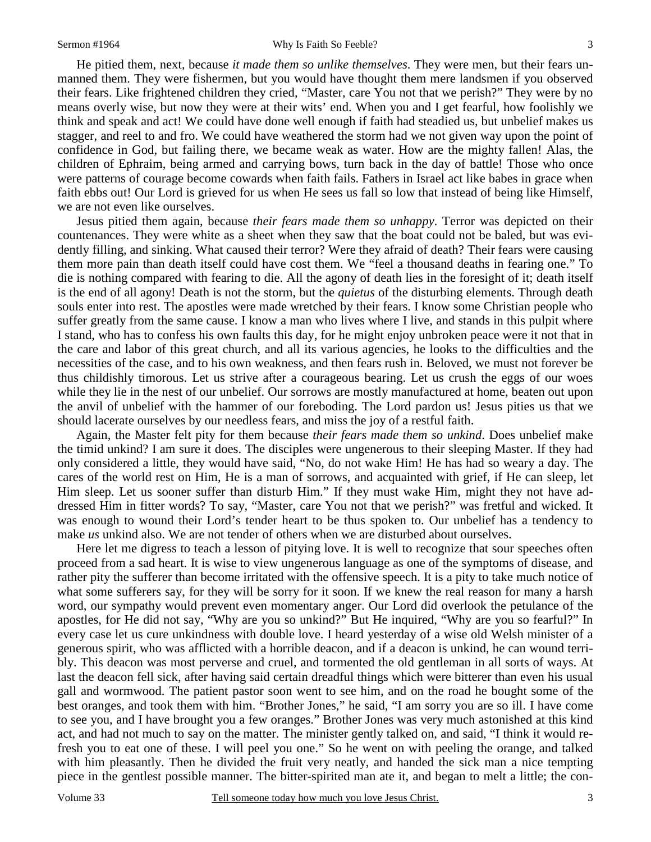He pitied them, next, because *it made them so unlike themselves*. They were men, but their fears unmanned them. They were fishermen, but you would have thought them mere landsmen if you observed their fears. Like frightened children they cried, "Master, care You not that we perish?" They were by no means overly wise, but now they were at their wits' end. When you and I get fearful, how foolishly we think and speak and act! We could have done well enough if faith had steadied us, but unbelief makes us stagger, and reel to and fro. We could have weathered the storm had we not given way upon the point of confidence in God, but failing there, we became weak as water. How are the mighty fallen! Alas, the children of Ephraim, being armed and carrying bows, turn back in the day of battle! Those who once were patterns of courage become cowards when faith fails. Fathers in Israel act like babes in grace when faith ebbs out! Our Lord is grieved for us when He sees us fall so low that instead of being like Himself, we are not even like ourselves.

Jesus pitied them again, because *their fears made them so unhappy*. Terror was depicted on their countenances. They were white as a sheet when they saw that the boat could not be baled, but was evidently filling, and sinking. What caused their terror? Were they afraid of death? Their fears were causing them more pain than death itself could have cost them. We "feel a thousand deaths in fearing one." To die is nothing compared with fearing to die. All the agony of death lies in the foresight of it; death itself is the end of all agony! Death is not the storm, but the *quietus* of the disturbing elements. Through death souls enter into rest. The apostles were made wretched by their fears. I know some Christian people who suffer greatly from the same cause. I know a man who lives where I live, and stands in this pulpit where I stand, who has to confess his own faults this day, for he might enjoy unbroken peace were it not that in the care and labor of this great church, and all its various agencies, he looks to the difficulties and the necessities of the case, and to his own weakness, and then fears rush in. Beloved, we must not forever be thus childishly timorous. Let us strive after a courageous bearing. Let us crush the eggs of our woes while they lie in the nest of our unbelief. Our sorrows are mostly manufactured at home, beaten out upon the anvil of unbelief with the hammer of our foreboding. The Lord pardon us! Jesus pities us that we should lacerate ourselves by our needless fears, and miss the joy of a restful faith.

Again, the Master felt pity for them because *their fears made them so unkind*. Does unbelief make the timid unkind? I am sure it does. The disciples were ungenerous to their sleeping Master. If they had only considered a little, they would have said, "No, do not wake Him! He has had so weary a day. The cares of the world rest on Him, He is a man of sorrows, and acquainted with grief, if He can sleep, let Him sleep. Let us sooner suffer than disturb Him." If they must wake Him, might they not have addressed Him in fitter words? To say, "Master, care You not that we perish?" was fretful and wicked. It was enough to wound their Lord's tender heart to be thus spoken to. Our unbelief has a tendency to make *us* unkind also. We are not tender of others when we are disturbed about ourselves.

Here let me digress to teach a lesson of pitying love. It is well to recognize that sour speeches often proceed from a sad heart. It is wise to view ungenerous language as one of the symptoms of disease, and rather pity the sufferer than become irritated with the offensive speech. It is a pity to take much notice of what some sufferers say, for they will be sorry for it soon. If we knew the real reason for many a harsh word, our sympathy would prevent even momentary anger. Our Lord did overlook the petulance of the apostles, for He did not say, "Why are you so unkind?" But He inquired, "Why are you so fearful?" In every case let us cure unkindness with double love. I heard yesterday of a wise old Welsh minister of a generous spirit, who was afflicted with a horrible deacon, and if a deacon is unkind, he can wound terribly. This deacon was most perverse and cruel, and tormented the old gentleman in all sorts of ways. At last the deacon fell sick, after having said certain dreadful things which were bitterer than even his usual gall and wormwood. The patient pastor soon went to see him, and on the road he bought some of the best oranges, and took them with him. "Brother Jones," he said, "I am sorry you are so ill. I have come to see you, and I have brought you a few oranges." Brother Jones was very much astonished at this kind act, and had not much to say on the matter. The minister gently talked on, and said, "I think it would refresh you to eat one of these. I will peel you one." So he went on with peeling the orange, and talked with him pleasantly. Then he divided the fruit very neatly, and handed the sick man a nice tempting piece in the gentlest possible manner. The bitter-spirited man ate it, and began to melt a little; the con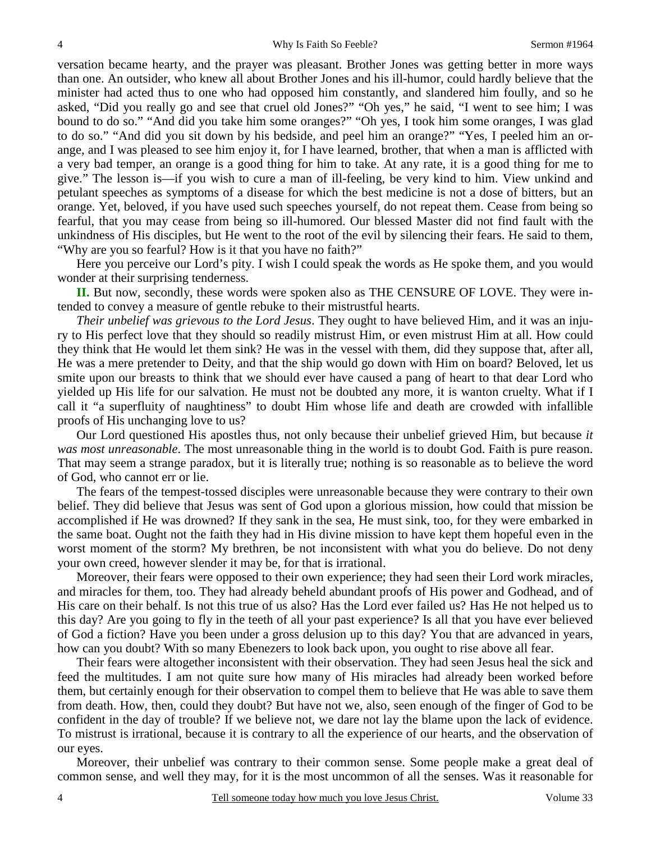versation became hearty, and the prayer was pleasant. Brother Jones was getting better in more ways than one. An outsider, who knew all about Brother Jones and his ill-humor, could hardly believe that the minister had acted thus to one who had opposed him constantly, and slandered him foully, and so he asked, "Did you really go and see that cruel old Jones?" "Oh yes," he said, "I went to see him; I was bound to do so." "And did you take him some oranges?" "Oh yes, I took him some oranges, I was glad to do so." "And did you sit down by his bedside, and peel him an orange?" "Yes, I peeled him an orange, and I was pleased to see him enjoy it, for I have learned, brother, that when a man is afflicted with a very bad temper, an orange is a good thing for him to take. At any rate, it is a good thing for me to give." The lesson is—if you wish to cure a man of ill-feeling, be very kind to him. View unkind and petulant speeches as symptoms of a disease for which the best medicine is not a dose of bitters, but an orange. Yet, beloved, if you have used such speeches yourself, do not repeat them. Cease from being so fearful, that you may cease from being so ill-humored. Our blessed Master did not find fault with the unkindness of His disciples, but He went to the root of the evil by silencing their fears. He said to them, "Why are you so fearful? How is it that you have no faith?"

Here you perceive our Lord's pity. I wish I could speak the words as He spoke them, and you would wonder at their surprising tenderness.

**II.** But now, secondly, these words were spoken also as THE CENSURE OF LOVE. They were intended to convey a measure of gentle rebuke to their mistrustful hearts.

*Their unbelief was grievous to the Lord Jesus*. They ought to have believed Him, and it was an injury to His perfect love that they should so readily mistrust Him, or even mistrust Him at all. How could they think that He would let them sink? He was in the vessel with them, did they suppose that, after all, He was a mere pretender to Deity, and that the ship would go down with Him on board? Beloved, let us smite upon our breasts to think that we should ever have caused a pang of heart to that dear Lord who yielded up His life for our salvation. He must not be doubted any more, it is wanton cruelty. What if I call it "a superfluity of naughtiness" to doubt Him whose life and death are crowded with infallible proofs of His unchanging love to us?

Our Lord questioned His apostles thus, not only because their unbelief grieved Him, but because *it was most unreasonable*. The most unreasonable thing in the world is to doubt God. Faith is pure reason. That may seem a strange paradox, but it is literally true; nothing is so reasonable as to believe the word of God, who cannot err or lie.

The fears of the tempest-tossed disciples were unreasonable because they were contrary to their own belief. They did believe that Jesus was sent of God upon a glorious mission, how could that mission be accomplished if He was drowned? If they sank in the sea, He must sink, too, for they were embarked in the same boat. Ought not the faith they had in His divine mission to have kept them hopeful even in the worst moment of the storm? My brethren, be not inconsistent with what you do believe. Do not deny your own creed, however slender it may be, for that is irrational.

Moreover, their fears were opposed to their own experience; they had seen their Lord work miracles, and miracles for them, too. They had already beheld abundant proofs of His power and Godhead, and of His care on their behalf. Is not this true of us also? Has the Lord ever failed us? Has He not helped us to this day? Are you going to fly in the teeth of all your past experience? Is all that you have ever believed of God a fiction? Have you been under a gross delusion up to this day? You that are advanced in years, how can you doubt? With so many Ebenezers to look back upon, you ought to rise above all fear.

Their fears were altogether inconsistent with their observation. They had seen Jesus heal the sick and feed the multitudes. I am not quite sure how many of His miracles had already been worked before them, but certainly enough for their observation to compel them to believe that He was able to save them from death. How, then, could they doubt? But have not we, also, seen enough of the finger of God to be confident in the day of trouble? If we believe not, we dare not lay the blame upon the lack of evidence. To mistrust is irrational, because it is contrary to all the experience of our hearts, and the observation of our eyes.

Moreover, their unbelief was contrary to their common sense. Some people make a great deal of common sense, and well they may, for it is the most uncommon of all the senses. Was it reasonable for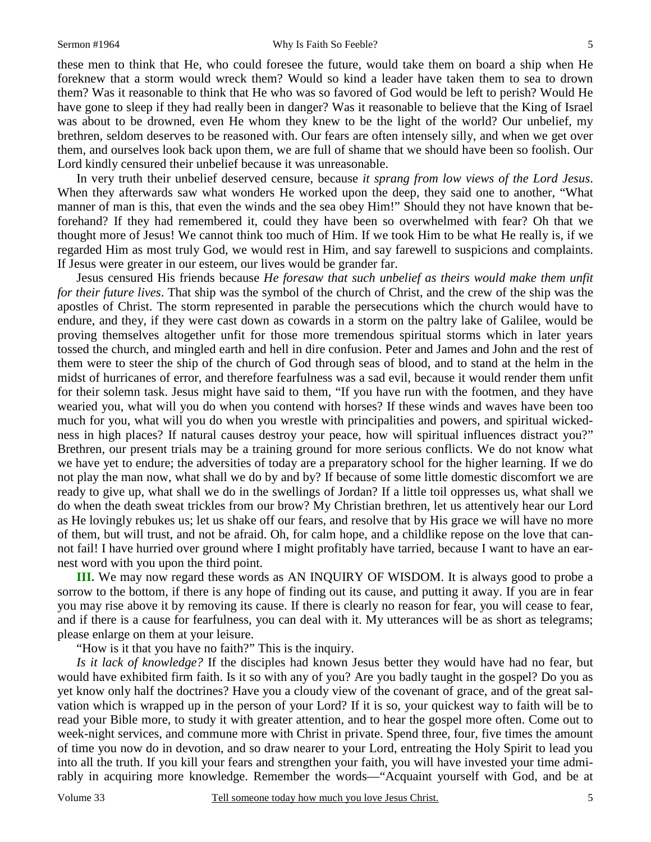these men to think that He, who could foresee the future, would take them on board a ship when He foreknew that a storm would wreck them? Would so kind a leader have taken them to sea to drown them? Was it reasonable to think that He who was so favored of God would be left to perish? Would He have gone to sleep if they had really been in danger? Was it reasonable to believe that the King of Israel was about to be drowned, even He whom they knew to be the light of the world? Our unbelief, my brethren, seldom deserves to be reasoned with. Our fears are often intensely silly, and when we get over them, and ourselves look back upon them, we are full of shame that we should have been so foolish. Our Lord kindly censured their unbelief because it was unreasonable.

In very truth their unbelief deserved censure, because *it sprang from low views of the Lord Jesus*. When they afterwards saw what wonders He worked upon the deep, they said one to another, "What manner of man is this, that even the winds and the sea obey Him!" Should they not have known that beforehand? If they had remembered it, could they have been so overwhelmed with fear? Oh that we thought more of Jesus! We cannot think too much of Him. If we took Him to be what He really is, if we regarded Him as most truly God, we would rest in Him, and say farewell to suspicions and complaints. If Jesus were greater in our esteem, our lives would be grander far.

Jesus censured His friends because *He foresaw that such unbelief as theirs would make them unfit for their future lives*. That ship was the symbol of the church of Christ, and the crew of the ship was the apostles of Christ. The storm represented in parable the persecutions which the church would have to endure, and they, if they were cast down as cowards in a storm on the paltry lake of Galilee, would be proving themselves altogether unfit for those more tremendous spiritual storms which in later years tossed the church, and mingled earth and hell in dire confusion. Peter and James and John and the rest of them were to steer the ship of the church of God through seas of blood, and to stand at the helm in the midst of hurricanes of error, and therefore fearfulness was a sad evil, because it would render them unfit for their solemn task. Jesus might have said to them, "If you have run with the footmen, and they have wearied you, what will you do when you contend with horses? If these winds and waves have been too much for you, what will you do when you wrestle with principalities and powers, and spiritual wickedness in high places? If natural causes destroy your peace, how will spiritual influences distract you?" Brethren, our present trials may be a training ground for more serious conflicts. We do not know what we have yet to endure; the adversities of today are a preparatory school for the higher learning. If we do not play the man now, what shall we do by and by? If because of some little domestic discomfort we are ready to give up, what shall we do in the swellings of Jordan? If a little toil oppresses us, what shall we do when the death sweat trickles from our brow? My Christian brethren, let us attentively hear our Lord as He lovingly rebukes us; let us shake off our fears, and resolve that by His grace we will have no more of them, but will trust, and not be afraid. Oh, for calm hope, and a childlike repose on the love that cannot fail! I have hurried over ground where I might profitably have tarried, because I want to have an earnest word with you upon the third point.

**III.** We may now regard these words as AN INQUIRY OF WISDOM. It is always good to probe a sorrow to the bottom, if there is any hope of finding out its cause, and putting it away. If you are in fear you may rise above it by removing its cause. If there is clearly no reason for fear, you will cease to fear, and if there is a cause for fearfulness, you can deal with it. My utterances will be as short as telegrams; please enlarge on them at your leisure.

"How is it that you have no faith?" This is the inquiry.

*Is it lack of knowledge?* If the disciples had known Jesus better they would have had no fear, but would have exhibited firm faith. Is it so with any of you? Are you badly taught in the gospel? Do you as yet know only half the doctrines? Have you a cloudy view of the covenant of grace, and of the great salvation which is wrapped up in the person of your Lord? If it is so, your quickest way to faith will be to read your Bible more, to study it with greater attention, and to hear the gospel more often. Come out to week-night services, and commune more with Christ in private. Spend three, four, five times the amount of time you now do in devotion, and so draw nearer to your Lord, entreating the Holy Spirit to lead you into all the truth. If you kill your fears and strengthen your faith, you will have invested your time admirably in acquiring more knowledge. Remember the words—"Acquaint yourself with God, and be at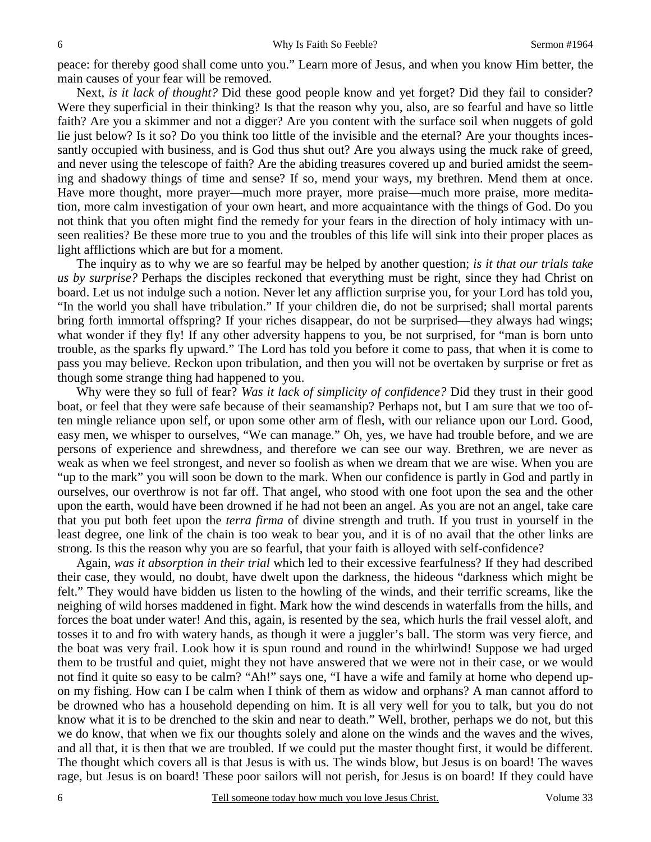peace: for thereby good shall come unto you." Learn more of Jesus, and when you know Him better, the main causes of your fear will be removed.

Next, *is it lack of thought?* Did these good people know and yet forget? Did they fail to consider? Were they superficial in their thinking? Is that the reason why you, also, are so fearful and have so little faith? Are you a skimmer and not a digger? Are you content with the surface soil when nuggets of gold lie just below? Is it so? Do you think too little of the invisible and the eternal? Are your thoughts incessantly occupied with business, and is God thus shut out? Are you always using the muck rake of greed, and never using the telescope of faith? Are the abiding treasures covered up and buried amidst the seeming and shadowy things of time and sense? If so, mend your ways, my brethren. Mend them at once. Have more thought, more prayer—much more prayer, more praise—much more praise, more meditation, more calm investigation of your own heart, and more acquaintance with the things of God. Do you not think that you often might find the remedy for your fears in the direction of holy intimacy with unseen realities? Be these more true to you and the troubles of this life will sink into their proper places as light afflictions which are but for a moment.

The inquiry as to why we are so fearful may be helped by another question; *is it that our trials take us by surprise?* Perhaps the disciples reckoned that everything must be right, since they had Christ on board. Let us not indulge such a notion. Never let any affliction surprise you, for your Lord has told you, "In the world you shall have tribulation." If your children die, do not be surprised; shall mortal parents bring forth immortal offspring? If your riches disappear, do not be surprised—they always had wings; what wonder if they fly! If any other adversity happens to you, be not surprised, for "man is born unto trouble, as the sparks fly upward." The Lord has told you before it come to pass, that when it is come to pass you may believe. Reckon upon tribulation, and then you will not be overtaken by surprise or fret as though some strange thing had happened to you.

Why were they so full of fear? *Was it lack of simplicity of confidence?* Did they trust in their good boat, or feel that they were safe because of their seamanship? Perhaps not, but I am sure that we too often mingle reliance upon self, or upon some other arm of flesh, with our reliance upon our Lord. Good, easy men, we whisper to ourselves, "We can manage." Oh, yes, we have had trouble before, and we are persons of experience and shrewdness, and therefore we can see our way. Brethren, we are never as weak as when we feel strongest, and never so foolish as when we dream that we are wise. When you are "up to the mark" you will soon be down to the mark. When our confidence is partly in God and partly in ourselves, our overthrow is not far off. That angel, who stood with one foot upon the sea and the other upon the earth, would have been drowned if he had not been an angel. As you are not an angel, take care that you put both feet upon the *terra firma* of divine strength and truth. If you trust in yourself in the least degree, one link of the chain is too weak to bear you, and it is of no avail that the other links are strong. Is this the reason why you are so fearful, that your faith is alloyed with self-confidence?

Again, *was it absorption in their trial* which led to their excessive fearfulness? If they had described their case, they would, no doubt, have dwelt upon the darkness, the hideous "darkness which might be felt." They would have bidden us listen to the howling of the winds, and their terrific screams, like the neighing of wild horses maddened in fight. Mark how the wind descends in waterfalls from the hills, and forces the boat under water! And this, again, is resented by the sea, which hurls the frail vessel aloft, and tosses it to and fro with watery hands, as though it were a juggler's ball. The storm was very fierce, and the boat was very frail. Look how it is spun round and round in the whirlwind! Suppose we had urged them to be trustful and quiet, might they not have answered that we were not in their case, or we would not find it quite so easy to be calm? "Ah!" says one, "I have a wife and family at home who depend upon my fishing. How can I be calm when I think of them as widow and orphans? A man cannot afford to be drowned who has a household depending on him. It is all very well for you to talk, but you do not know what it is to be drenched to the skin and near to death." Well, brother, perhaps we do not, but this we do know, that when we fix our thoughts solely and alone on the winds and the waves and the wives, and all that, it is then that we are troubled. If we could put the master thought first, it would be different. The thought which covers all is that Jesus is with us. The winds blow, but Jesus is on board! The waves rage, but Jesus is on board! These poor sailors will not perish, for Jesus is on board! If they could have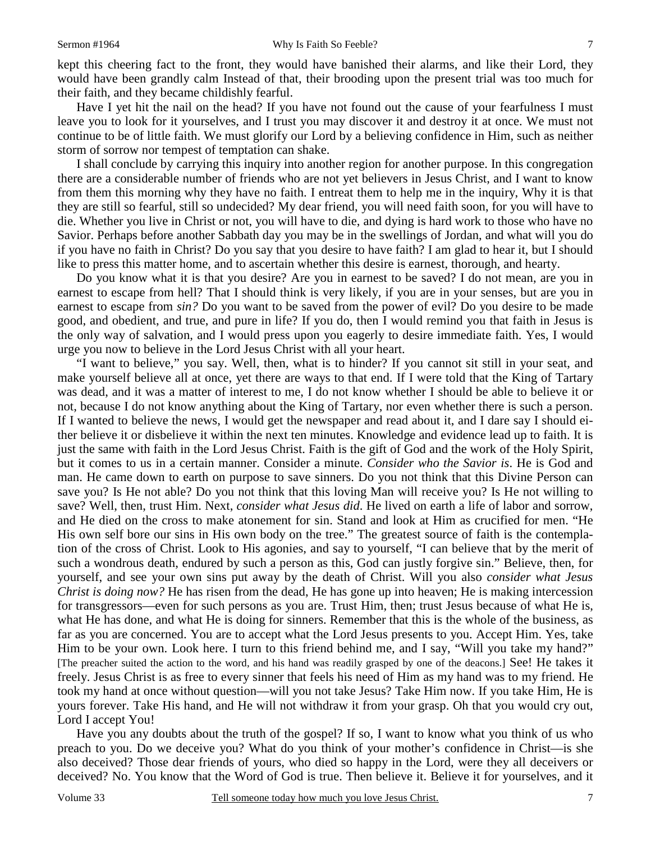kept this cheering fact to the front, they would have banished their alarms, and like their Lord, they would have been grandly calm Instead of that, their brooding upon the present trial was too much for their faith, and they became childishly fearful.

Have I yet hit the nail on the head? If you have not found out the cause of your fearfulness I must leave you to look for it yourselves, and I trust you may discover it and destroy it at once. We must not continue to be of little faith. We must glorify our Lord by a believing confidence in Him, such as neither storm of sorrow nor tempest of temptation can shake.

I shall conclude by carrying this inquiry into another region for another purpose. In this congregation there are a considerable number of friends who are not yet believers in Jesus Christ, and I want to know from them this morning why they have no faith. I entreat them to help me in the inquiry, Why it is that they are still so fearful, still so undecided? My dear friend, you will need faith soon, for you will have to die. Whether you live in Christ or not, you will have to die, and dying is hard work to those who have no Savior. Perhaps before another Sabbath day you may be in the swellings of Jordan, and what will you do if you have no faith in Christ? Do you say that you desire to have faith? I am glad to hear it, but I should like to press this matter home, and to ascertain whether this desire is earnest, thorough, and hearty.

Do you know what it is that you desire? Are you in earnest to be saved? I do not mean, are you in earnest to escape from hell? That I should think is very likely, if you are in your senses, but are you in earnest to escape from *sin?* Do you want to be saved from the power of evil? Do you desire to be made good, and obedient, and true, and pure in life? If you do, then I would remind you that faith in Jesus is the only way of salvation, and I would press upon you eagerly to desire immediate faith. Yes, I would urge you now to believe in the Lord Jesus Christ with all your heart.

"I want to believe," you say. Well, then, what is to hinder? If you cannot sit still in your seat, and make yourself believe all at once, yet there are ways to that end. If I were told that the King of Tartary was dead, and it was a matter of interest to me, I do not know whether I should be able to believe it or not, because I do not know anything about the King of Tartary, nor even whether there is such a person. If I wanted to believe the news, I would get the newspaper and read about it, and I dare say I should either believe it or disbelieve it within the next ten minutes. Knowledge and evidence lead up to faith. It is just the same with faith in the Lord Jesus Christ. Faith is the gift of God and the work of the Holy Spirit, but it comes to us in a certain manner. Consider a minute. *Consider who the Savior is*. He is God and man. He came down to earth on purpose to save sinners. Do you not think that this Divine Person can save you? Is He not able? Do you not think that this loving Man will receive you? Is He not willing to save? Well, then, trust Him. Next, *consider what Jesus did*. He lived on earth a life of labor and sorrow, and He died on the cross to make atonement for sin. Stand and look at Him as crucified for men. "He His own self bore our sins in His own body on the tree." The greatest source of faith is the contemplation of the cross of Christ. Look to His agonies, and say to yourself, "I can believe that by the merit of such a wondrous death, endured by such a person as this, God can justly forgive sin." Believe, then, for yourself, and see your own sins put away by the death of Christ. Will you also *consider what Jesus Christ is doing now?* He has risen from the dead, He has gone up into heaven; He is making intercession for transgressors—even for such persons as you are. Trust Him, then; trust Jesus because of what He is, what He has done, and what He is doing for sinners. Remember that this is the whole of the business, as far as you are concerned. You are to accept what the Lord Jesus presents to you. Accept Him. Yes, take Him to be your own. Look here. I turn to this friend behind me, and I say, "Will you take my hand?" [The preacher suited the action to the word, and his hand was readily grasped by one of the deacons.] See! He takes it freely. Jesus Christ is as free to every sinner that feels his need of Him as my hand was to my friend. He took my hand at once without question—will you not take Jesus? Take Him now. If you take Him, He is yours forever. Take His hand, and He will not withdraw it from your grasp. Oh that you would cry out, Lord I accept You!

Have you any doubts about the truth of the gospel? If so, I want to know what you think of us who preach to you. Do we deceive you? What do you think of your mother's confidence in Christ—is she also deceived? Those dear friends of yours, who died so happy in the Lord, were they all deceivers or deceived? No. You know that the Word of God is true. Then believe it. Believe it for yourselves, and it